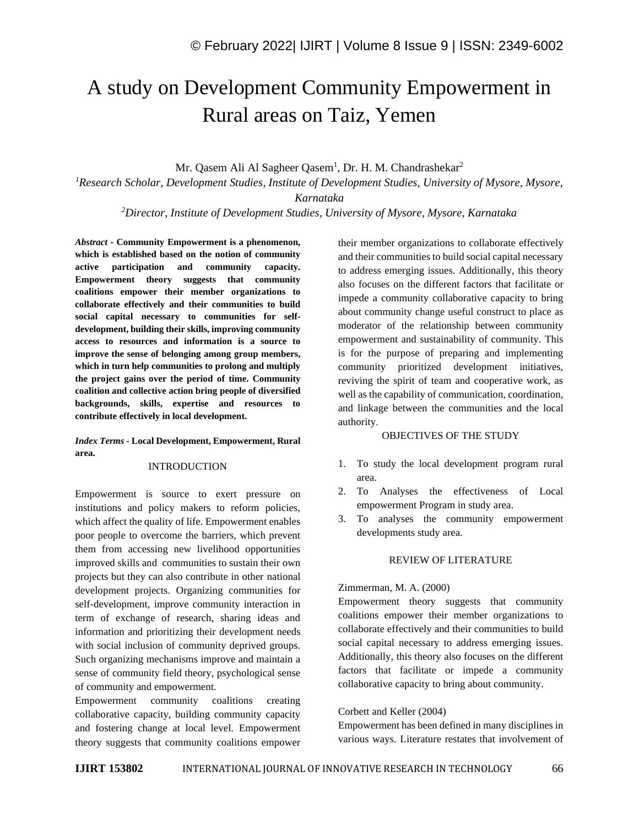# A study on Development Community Empowerment in Rural areas on Taiz, Yemen

Mr. Qasem Ali Al Sagheer Qasem<sup>1</sup>, Dr. H. M. Chandrashekar<sup>2</sup>

*<sup>1</sup>Research Scholar, Development Studies, Institute of Development Studies, University of Mysore, Mysore, Karnataka*

*<sup>2</sup>Director, Institute of Development Studies, University of Mysore, Mysore, Karnataka*

*Abstract -* **Community Empowerment is a phenomenon, which is established based on the notion of community active participation and community capacity. Empowerment theory suggests that community coalitions empower their member organizations to collaborate effectively and their communities to build social capital necessary to communities for selfdevelopment, building their skills, improving community access to resources and information is a source to improve the sense of belonging among group members, which in turn help communities to prolong and multiply the project gains over the period of time. Community coalition and collective action bring people of diversified backgrounds, skills, expertise and resources to contribute effectively in local development.**

*Index Terms -* **Local Development, Empowerment, Rural area.**

## INTRODUCTION

Empowerment is source to exert pressure on institutions and policy makers to reform policies, which affect the quality of life. Empowerment enables poor people to overcome the barriers, which prevent them from accessing new livelihood opportunities improved skills and communities to sustain their own projects but they can also contribute in other national development projects. Organizing communities for self-development, improve community interaction in term of exchange of research, sharing ideas and information and prioritizing their development needs with social inclusion of community deprived groups. Such organizing mechanisms improve and maintain a sense of community field theory, psychological sense of community and empowerment.

Empowerment community coalitions creating collaborative capacity, building community capacity and fostering change at local level. Empowerment theory suggests that community coalitions empower their member organizations to collaborate effectively and their communities to build social capital necessary to address emerging issues. Additionally, this theory also focuses on the different factors that facilitate or impede a community collaborative capacity to bring about community change useful construct to place as moderator of the relationship between community empowerment and sustainability of community. This is for the purpose of preparing and implementing community prioritized development initiatives, reviving the spirit of team and cooperative work, as well as the capability of communication, coordination, and linkage between the communities and the local authority.

## OBJECTIVES OF THE STUDY

- 1. To study the local development program rural area.
- 2. To Analyses the effectiveness of Local empowerment Program in study area.
- 3. To analyses the community empowerment developments study area.

## REVIEW OF LITERATURE

#### Zimmerman, M. A. (2000)

Empowerment theory suggests that community coalitions empower their member organizations to collaborate effectively and their communities to build social capital necessary to address emerging issues. Additionally, this theory also focuses on the different factors that facilitate or impede a community collaborative capacity to bring about community.

#### Corbett and Keller (2004)

Empowerment has been defined in many disciplines in various ways. Literature restates that involvement of